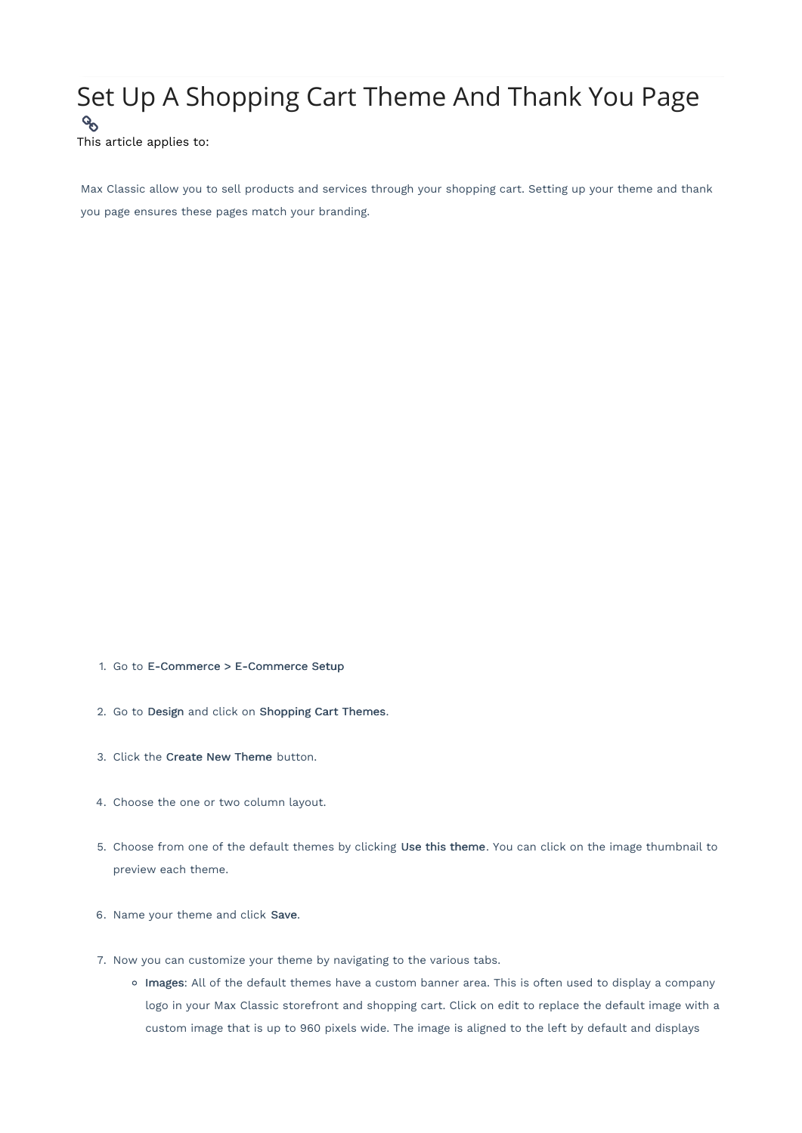## Set Up A Shopping Cart Theme And Thank You Page  $\mathcal{C}_{\mathcal{O}}$

This article applies to:

Max Classic allow you to sell products and services through your shopping cart. Setting up your theme and thank you page ensures these pages match your branding.

- 1. Go to E-Commerce > E-Commerce Setup
- 2. Go to Design and click on Shopping Cart Themes.
- 3. Click the Create New Theme button.
- 4. Choose the one or two column layout.
- 5. Choose from one of the default themes by clicking Use this theme. You can click on the image thumbnail to preview each theme.
- 6. Name your theme and click Save.
- 7. Now you can customize your theme by navigating to the various tabs.
	- o Images: All of the default themes have a custom banner area. This is often used to display a company logo in your Max Classic storefront and shopping cart. Click on edit to replace the default image with a custom image that is up to 960 pixels wide. The image is aligned to the left by default and displays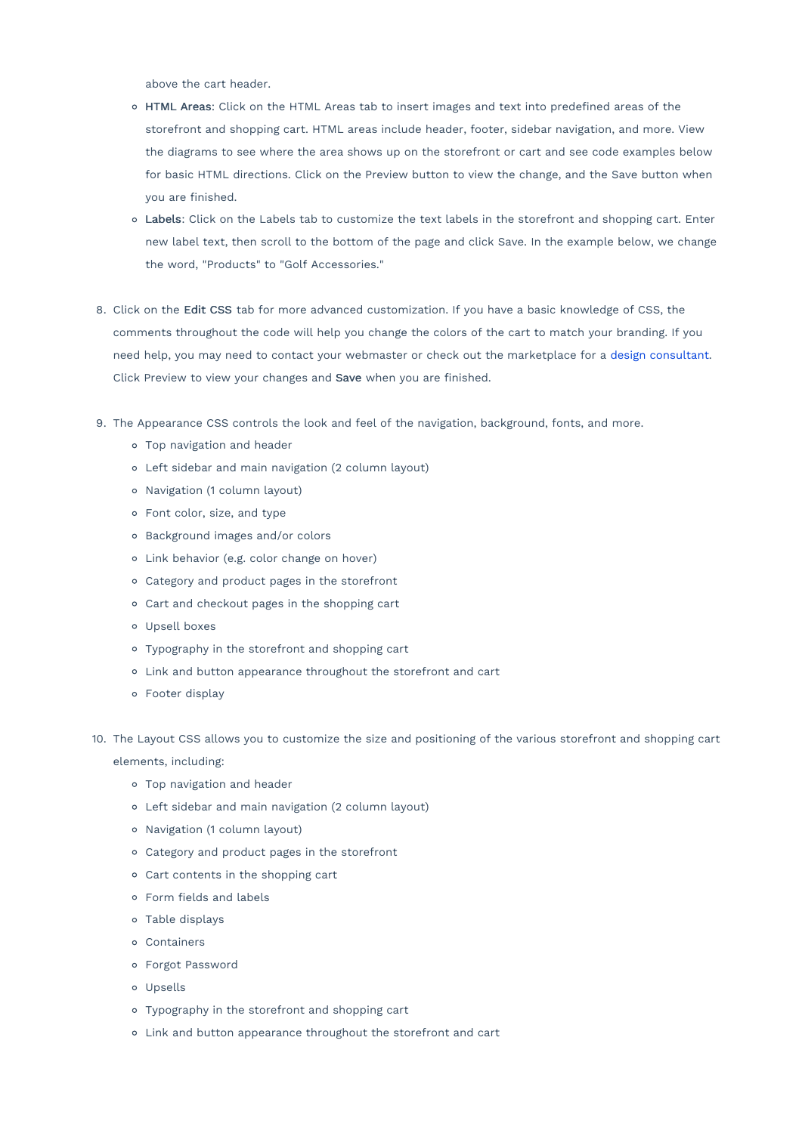above the cart header.

- o HTML Areas: Click on the HTML Areas tab to insert images and text into predefined areas of the storefront and shopping cart. HTML areas include header, footer, sidebar navigation, and more. View the diagrams to see where the area shows up on the storefront or cart and see code examples below for basic HTML directions. Click on the Preview button to view the change, and the Save button when you are finished.
- Labels: Click on the Labels tab to customize the text labels in the storefront and shopping cart. Enter new label text, then scroll to the bottom of the page and click Save. In the example below, we change the word, "Products" to "Golf Accessories."
- 8. Click on the Edit CSS tab for more advanced customization. If you have a basic knowledge of CSS, the comments throughout the code will help you change the colors of the cart to match your branding. If you need help, you may need to contact your webmaster or check out the marketplace for a design consultant. Click Preview to view your changes and Save when you are finished.
- 9. The Appearance CSS controls the look and feel of the navigation, background, fonts, and more.
	- Top navigation and header
	- Left sidebar and main navigation (2 column layout)
	- Navigation (1 column layout)
	- Font color, size, and type
	- Background images and/or colors
	- Link behavior (e.g. color change on hover)
	- Category and product pages in the storefront
	- Cart and checkout pages in the shopping cart
	- Upsell boxes
	- Typography in the storefront and shopping cart
	- Link and button appearance throughout the storefront and cart
	- Footer display
- 10. The Layout CSS allows you to customize the size and positioning of the various storefront and shopping cart elements, including:
	- Top navigation and header
	- Left sidebar and main navigation (2 column layout)
	- Navigation (1 column layout)
	- Category and product pages in the storefront
	- Cart contents in the shopping cart
	- Form fields and labels
	- Table displays
	- Containers
	- Forgot Password
	- Upsells
	- Typography in the storefront and shopping cart
	- Link and button appearance throughout the storefront and cart